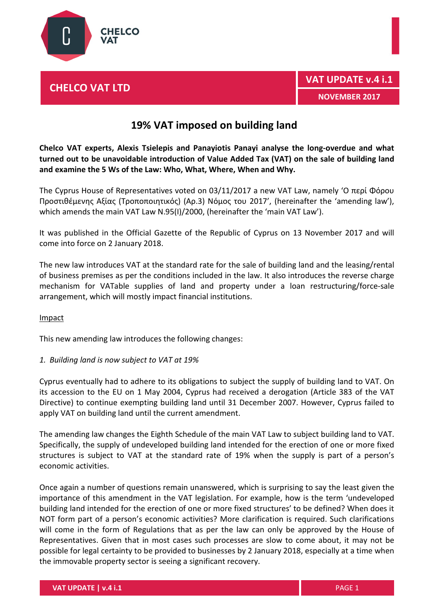

# **CHELCO VAT LTD**

# **19% VAT imposed on building land**

**Chelco VAT experts, Alexis Tsielepis and Panayiotis Panayi analyse the long-overdue and what turned out to be unavoidable introduction of Value Added Tax (VAT) on the sale of building land and examine the 5 Ws of the Law: Who, What, Where, When and Why.**

The Cyprus House of Representatives voted on 03/11/2017 a new VAT Law, namely 'Ο περί Φόρου Προστιθέμενης Αξίας (Τροποποιητικός) (Αρ.3) Νόμος του 2017', (hereinafter the 'amending law'), which amends the main VAT Law N.95(I)/2000, (hereinafter the 'main VAT Law').

It was published in the Official Gazette of the Republic of Cyprus on 13 November 2017 and will come into force on 2 January 2018.

The new law introduces VAT at the standard rate for the sale of building land and the leasing/rental of business premises as per the conditions included in the law. It also introduces the reverse charge mechanism for VATable supplies of land and property under a loan restructuring/force-sale arrangement, which will mostly impact financial institutions.

### **Impact**

This new amending law introduces the following changes:

### *1. Building land is now subject to VAT at 19%*

Cyprus eventually had to adhere to its obligations to subject the supply of building land to VAT. On its accession to the EU on 1 May 2004, Cyprus had received a derogation (Article 383 of the VAT Directive) to continue exempting building land until 31 December 2007. However, Cyprus failed to apply VAT on building land until the current amendment.

The amending law changes the Eighth Schedule of the main VAT Law to subject building land to VAT. Specifically, the supply of undeveloped building land intended for the erection of one or more fixed structures is subject to VAT at the standard rate of 19% when the supply is part of a person's economic activities.

Once again a number of questions remain unanswered, which is surprising to say the least given the importance of this amendment in the VAT legislation. For example, how is the term 'undeveloped building land intended for the erection of one or more fixed structures' to be defined? When does it NOT form part of a person's economic activities? More clarification is required. Such clarifications will come in the form of Regulations that as per the law can only be approved by the House of Representatives. Given that in most cases such processes are slow to come about, it may not be possible for legal certainty to be provided to businesses by 2 January 2018, especially at a time when the immovable property sector is seeing a significant recovery.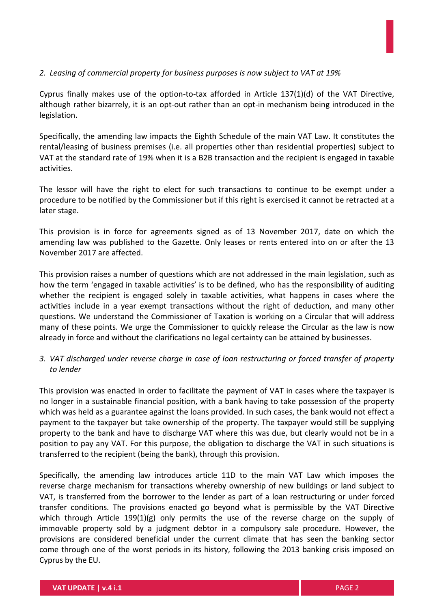### *2. Leasing of commercial property for business purposes is now subject to VAT at 19%*

Cyprus finally makes use of the option-to-tax afforded in Article 137(1)(d) of the VAT Directive, although rather bizarrely, it is an opt-out rather than an opt-in mechanism being introduced in the legislation.

Specifically, the amending law impacts the Eighth Schedule of the main VAT Law. It constitutes the rental/leasing of business premises (i.e. all properties other than residential properties) subject to VAT at the standard rate of 19% when it is a B2B transaction and the recipient is engaged in taxable activities.

The lessor will have the right to elect for such transactions to continue to be exempt under a procedure to be notified by the Commissioner but if this right is exercised it cannot be retracted at a later stage.

This provision is in force for agreements signed as of 13 November 2017, date on which the amending law was published to the Gazette. Only leases or rents entered into on or after the 13 November 2017 are affected.

This provision raises a number of questions which are not addressed in the main legislation, such as how the term 'engaged in taxable activities' is to be defined, who has the responsibility of auditing whether the recipient is engaged solely in taxable activities, what happens in cases where the activities include in a year exempt transactions without the right of deduction, and many other questions. We understand the Commissioner of Taxation is working on a Circular that will address many of these points. We urge the Commissioner to quickly release the Circular as the law is now already in force and without the clarifications no legal certainty can be attained by businesses.

## *3. VAT discharged under reverse charge in case of loan restructuring or forced transfer of property to lender*

This provision was enacted in order to facilitate the payment of VAT in cases where the taxpayer is no longer in a sustainable financial position, with a bank having to take possession of the property which was held as a guarantee against the loans provided. In such cases, the bank would not effect a payment to the taxpayer but take ownership of the property. The taxpayer would still be supplying property to the bank and have to discharge VAT where this was due, but clearly would not be in a position to pay any VAT. For this purpose, the obligation to discharge the VAT in such situations is transferred to the recipient (being the bank), through this provision.

Specifically, the amending law introduces article 11D to the main VAT Law which imposes the reverse charge mechanism for transactions whereby ownership of new buildings or land subject to VAT, is transferred from the borrower to the lender as part of a loan restructuring or under forced transfer conditions. The provisions enacted go beyond what is permissible by the VAT Directive which through Article 199(1)(g) only permits the use of the reverse charge on the supply of immovable property sold by a judgment debtor in a compulsory sale procedure. However, the provisions are considered beneficial under the current climate that has seen the banking sector come through one of the worst periods in its history, following the 2013 banking crisis imposed on Cyprus by the EU.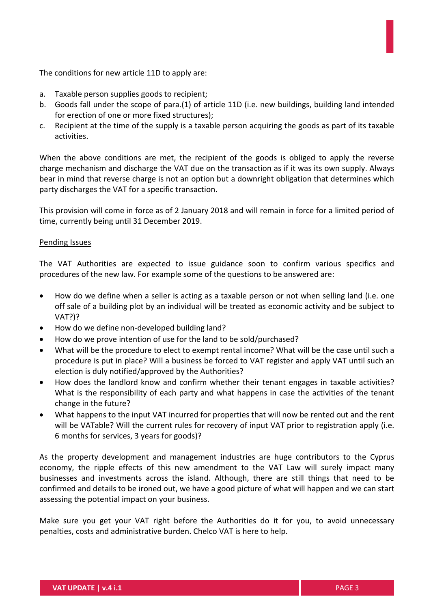The conditions for new article 11D to apply are:

- a. Taxable person supplies goods to recipient;
- b. Goods fall under the scope of para.(1) of article 11D (i.e. new buildings, building land intended for erection of one or more fixed structures);
- c. Recipient at the time of the supply is a taxable person acquiring the goods as part of its taxable activities.

When the above conditions are met, the recipient of the goods is obliged to apply the reverse charge mechanism and discharge the VAT due on the transaction as if it was its own supply. Always bear in mind that reverse charge is not an option but a downright obligation that determines which party discharges the VAT for a specific transaction.

This provision will come in force as of 2 January 2018 and will remain in force for a limited period of time, currently being until 31 December 2019.

#### Pending Issues

The VAT Authorities are expected to issue guidance soon to confirm various specifics and procedures of the new law. For example some of the questions to be answered are:

- How do we define when a seller is acting as a taxable person or not when selling land (i.e. one off sale of a building plot by an individual will be treated as economic activity and be subject to VAT?)?
- How do we define non-developed building land?
- How do we prove intention of use for the land to be sold/purchased?
- What will be the procedure to elect to exempt rental income? What will be the case until such a procedure is put in place? Will a business be forced to VAT register and apply VAT until such an election is duly notified/approved by the Authorities?
- How does the landlord know and confirm whether their tenant engages in taxable activities? What is the responsibility of each party and what happens in case the activities of the tenant change in the future?
- What happens to the input VAT incurred for properties that will now be rented out and the rent will be VATable? Will the current rules for recovery of input VAT prior to registration apply (i.e. 6 months for services, 3 years for goods)?

As the property development and management industries are huge contributors to the Cyprus economy, the ripple effects of this new amendment to the VAT Law will surely impact many businesses and investments across the island. Although, there are still things that need to be confirmed and details to be ironed out, we have a good picture of what will happen and we can start assessing the potential impact on your business.

Make sure you get your VAT right before the Authorities do it for you, to avoid unnecessary penalties, costs and administrative burden. Chelco VAT is here to help.